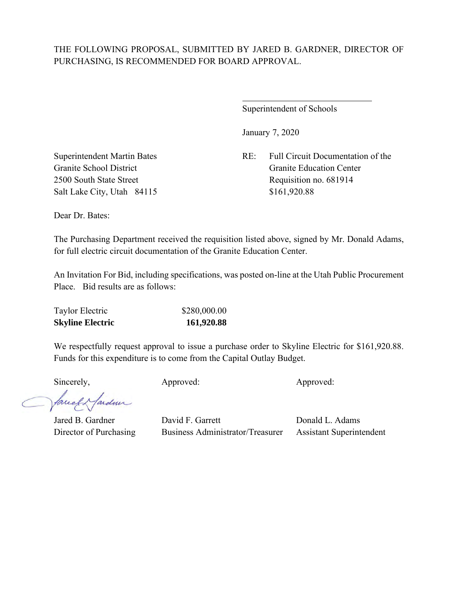## THE FOLLOWING PROPOSAL, SUBMITTED BY JARED B. GARDNER, DIRECTOR OF PURCHASING, IS RECOMMENDED FOR BOARD APPROVAL.

 $\overline{a}$ 

Superintendent of Schools

January 7, 2020

Superintendent Martin Bates RE: Full Circuit Documentation of the Granite School District Granite Education Center 2500 South State Street Requisition no. 681914

Salt Lake City, Utah 84115 \$161,920.88

Dear Dr. Bates:

The Purchasing Department received the requisition listed above, signed by Mr. Donald Adams, for full electric circuit documentation of the Granite Education Center.

An Invitation For Bid, including specifications, was posted on-line at the Utah Public Procurement Place. Bid results are as follows:

We respectfully request approval to issue a purchase order to Skyline Electric for \$161,920.88. Funds for this expenditure is to come from the Capital Outlay Budget.

Sincerely, Approved: Approved: Approved: Approved:

facely farder

Jared B. Gardner David F. Garrett Donald L. Adams Director of Purchasing Business Administrator/Treasurer Assistant Superintendent